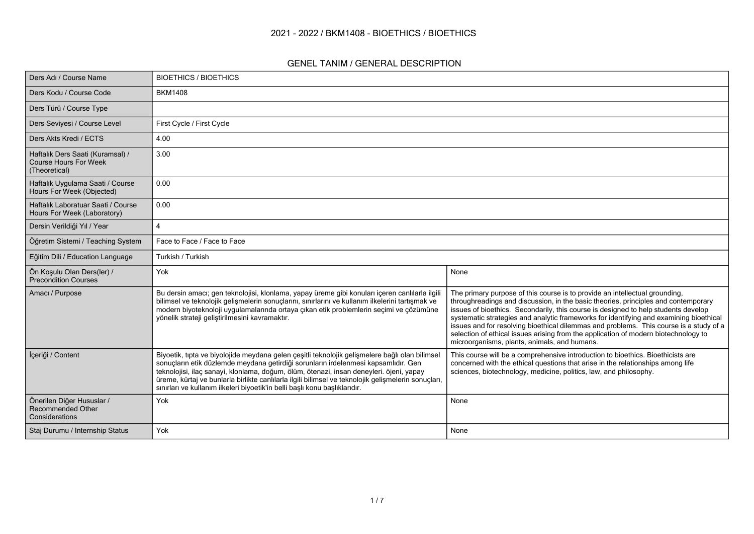### **2021 - 2022 / BKM1408 - BIOETHICS / BIOETHICS**

#### **GENEL TANIM / GENERAL DESCRIPTION**

| Ders Adı / Course Name                                                            | <b>BIOETHICS / BIOETHICS</b>                                                                                                                                                                                                                                                                                                                                                                                                                                         |                                                                                                                                                                                                                                                                                                                                                                                                                                                                                                                                                                                    |
|-----------------------------------------------------------------------------------|----------------------------------------------------------------------------------------------------------------------------------------------------------------------------------------------------------------------------------------------------------------------------------------------------------------------------------------------------------------------------------------------------------------------------------------------------------------------|------------------------------------------------------------------------------------------------------------------------------------------------------------------------------------------------------------------------------------------------------------------------------------------------------------------------------------------------------------------------------------------------------------------------------------------------------------------------------------------------------------------------------------------------------------------------------------|
| Ders Kodu / Course Code                                                           | <b>BKM1408</b>                                                                                                                                                                                                                                                                                                                                                                                                                                                       |                                                                                                                                                                                                                                                                                                                                                                                                                                                                                                                                                                                    |
| Ders Türü / Course Type                                                           |                                                                                                                                                                                                                                                                                                                                                                                                                                                                      |                                                                                                                                                                                                                                                                                                                                                                                                                                                                                                                                                                                    |
| Ders Seviyesi / Course Level                                                      | First Cycle / First Cycle                                                                                                                                                                                                                                                                                                                                                                                                                                            |                                                                                                                                                                                                                                                                                                                                                                                                                                                                                                                                                                                    |
| Ders Akts Kredi / ECTS                                                            | 4.00                                                                                                                                                                                                                                                                                                                                                                                                                                                                 |                                                                                                                                                                                                                                                                                                                                                                                                                                                                                                                                                                                    |
| Haftalık Ders Saati (Kuramsal) /<br><b>Course Hours For Week</b><br>(Theoretical) | 3.00                                                                                                                                                                                                                                                                                                                                                                                                                                                                 |                                                                                                                                                                                                                                                                                                                                                                                                                                                                                                                                                                                    |
| Haftalık Uygulama Saati / Course<br>Hours For Week (Objected)                     | 0.00                                                                                                                                                                                                                                                                                                                                                                                                                                                                 |                                                                                                                                                                                                                                                                                                                                                                                                                                                                                                                                                                                    |
| Haftalık Laboratuar Saati / Course<br>Hours For Week (Laboratory)                 | 0.00                                                                                                                                                                                                                                                                                                                                                                                                                                                                 |                                                                                                                                                                                                                                                                                                                                                                                                                                                                                                                                                                                    |
| Dersin Verildiği Yıl / Year                                                       |                                                                                                                                                                                                                                                                                                                                                                                                                                                                      |                                                                                                                                                                                                                                                                                                                                                                                                                                                                                                                                                                                    |
| Öğretim Sistemi / Teaching System                                                 | Face to Face / Face to Face                                                                                                                                                                                                                                                                                                                                                                                                                                          |                                                                                                                                                                                                                                                                                                                                                                                                                                                                                                                                                                                    |
| Eğitim Dili / Education Language                                                  | Turkish / Turkish                                                                                                                                                                                                                                                                                                                                                                                                                                                    |                                                                                                                                                                                                                                                                                                                                                                                                                                                                                                                                                                                    |
| Ön Koşulu Olan Ders(ler) /<br><b>Precondition Courses</b>                         | Yok                                                                                                                                                                                                                                                                                                                                                                                                                                                                  | None                                                                                                                                                                                                                                                                                                                                                                                                                                                                                                                                                                               |
| Amacı / Purpose                                                                   | Bu dersin amacı; gen teknolojisi, klonlama, yapay üreme gibi konuları içeren canlılarla ilgili<br>bilimsel ve teknolojik gelişmelerin sonuçlarını, sınırlarını ve kullanım ilkelerini tartışmak ve<br>modern biyoteknoloji uygulamalarında ortaya çıkan etik problemlerin seçimi ve çözümüne<br>yönelik strateji geliştirilmesini kavramaktır.                                                                                                                       | The primary purpose of this course is to provide an intellectual grounding,<br>throughreadings and discussion, in the basic theories, principles and contemporary<br>issues of bioethics. Secondarily, this course is designed to help students develop<br>systematic strategies and analytic frameworks for identifying and examining bioethical<br>issues and for resolving bioethical dilemmas and problems. This course is a study of a<br>selection of ethical issues arising from the application of modern biotechnology to<br>microorganisms, plants, animals, and humans. |
| İçeriği / Content                                                                 | Biyoetik, tıpta ve biyolojide meydana gelen çeşitli teknolojik gelişmelere bağlı olan bilimsel<br>sonuçların etik düzlemde meydana getirdiği sorunların irdelenmesi kapsamlıdır. Gen<br>teknolojisi, ilaç sanayi, klonlama, doğum, ölüm, ötenazi, insan deneyleri. öjeni, yapay<br>üreme, kürtaj ve bunlarla birlikte canlılarla ilgili bilimsel ve teknolojik gelişmelerin sonuçları,<br>sınırları ve kullanım ilkeleri biyoetik'in belli başlı konu başlıklarıdır. | This course will be a comprehensive introduction to bioethics. Bioethicists are<br>concerned with the ethical questions that arise in the relationships among life<br>sciences, biotechnology, medicine, politics, law, and philosophy.                                                                                                                                                                                                                                                                                                                                            |
| Önerilen Diğer Hususlar /<br><b>Recommended Other</b><br>Considerations           | Yok                                                                                                                                                                                                                                                                                                                                                                                                                                                                  | None                                                                                                                                                                                                                                                                                                                                                                                                                                                                                                                                                                               |
| Staj Durumu / Internship Status                                                   | Yok                                                                                                                                                                                                                                                                                                                                                                                                                                                                  | None                                                                                                                                                                                                                                                                                                                                                                                                                                                                                                                                                                               |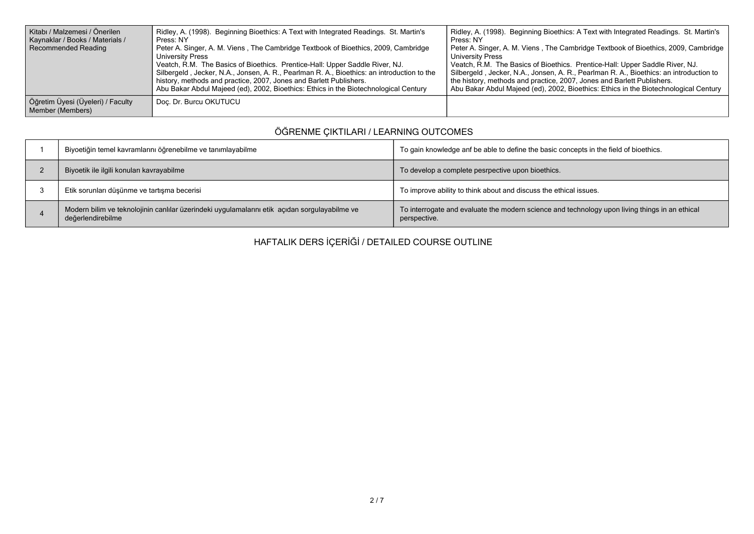| Kitabı / Malzemesi / Önerilen<br>Kaynaklar / Books / Materials /<br>Recommended Reading | Ridley, A. (1998). Beginning Bioethics: A Text with Integrated Readings. St. Martin's<br>Press: NY<br>Peter A. Singer, A. M. Viens, The Cambridge Textbook of Bioethics, 2009, Cambridge<br>University Press<br>Veatch, R.M. The Basics of Bioethics. Prentice-Hall: Upper Saddle River, NJ.<br>Silbergeld, Jecker, N.A., Jonsen, A. R., Pearlman R. A., Bioethics: an introduction to the<br>history, methods and practice, 2007, Jones and Barlett Publishers.<br>Abu Bakar Abdul Majeed (ed), 2002, Bioethics: Ethics in the Biotechnological Century | Ridley, A. (1998). Beginning Bioethics: A Text with Integrated Readings. St. Martin's<br>Press: NY<br>Peter A. Singer, A. M. Viens, The Cambridge Textbook of Bioethics, 2009, Cambridge  <br>University Press<br>Veatch, R.M. The Basics of Bioethics. Prentice-Hall: Upper Saddle River, NJ.<br>Silbergeld, Jecker, N.A., Jonsen, A. R., Pearlman R. A., Bioethics: an introduction to<br>the history, methods and practice, 2007, Jones and Barlett Publishers.<br>Abu Bakar Abdul Majeed (ed), 2002, Bioethics: Ethics in the Biotechnological Century |
|-----------------------------------------------------------------------------------------|----------------------------------------------------------------------------------------------------------------------------------------------------------------------------------------------------------------------------------------------------------------------------------------------------------------------------------------------------------------------------------------------------------------------------------------------------------------------------------------------------------------------------------------------------------|------------------------------------------------------------------------------------------------------------------------------------------------------------------------------------------------------------------------------------------------------------------------------------------------------------------------------------------------------------------------------------------------------------------------------------------------------------------------------------------------------------------------------------------------------------|
| Öğretim Üyesi (Üyeleri) / Faculty<br>Member (Members)                                   | Doc. Dr. Burcu OKUTUCU                                                                                                                                                                                                                                                                                                                                                                                                                                                                                                                                   |                                                                                                                                                                                                                                                                                                                                                                                                                                                                                                                                                            |

# **ÖĞRENME ÇIKTILARI / LEARNING OUTCOMES**

| Biyoetiğin temel kavramlarını öğrenebilme ve tanımlayabilme                                                        | To gain knowledge anf be able to define the basic concepts in the field of bioethics.                          |
|--------------------------------------------------------------------------------------------------------------------|----------------------------------------------------------------------------------------------------------------|
| Biyoetik ile ilgili konuları kavrayabilme                                                                          | To develop a complete pesrpective upon bioethics.                                                              |
| Etik sorunları düşünme ve tartışma becerisi                                                                        | To improve ability to think about and discuss the ethical issues.                                              |
| Modern bilim ve teknolojinin canlılar üzerindeki uygulamalarını etik açıdan sorgulayabilme ve<br>değerlendirebilme | To interrogate and evaluate the modern science and technology upon living things in an ethical<br>perspective. |

**HAFTALIK DERS İÇERİĞİ / DETAILED COURSE OUTLINE**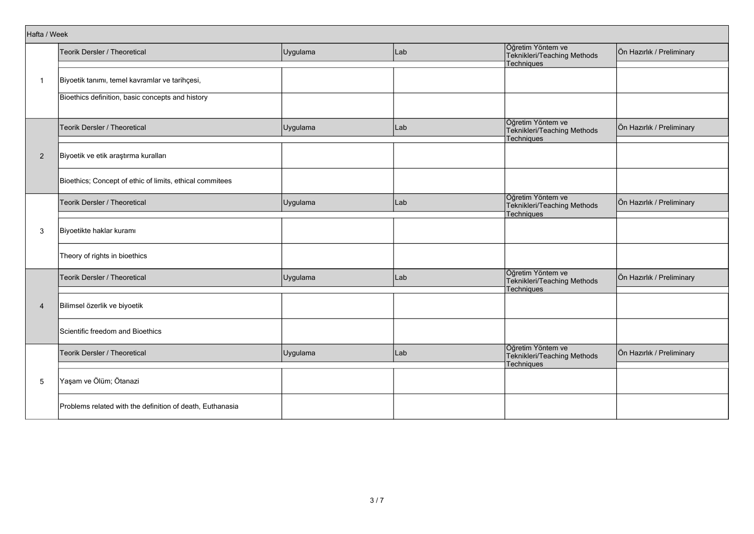| Hafta / Week   |                                                           |          |     |                                                                       |                           |
|----------------|-----------------------------------------------------------|----------|-----|-----------------------------------------------------------------------|---------------------------|
|                | Teorik Dersler / Theoretical                              | Uygulama | Lab | Öğretim Yöntem ve<br>Teknikleri/Teaching Methods                      | Ön Hazırlık / Preliminary |
|                |                                                           |          |     | Techniques                                                            |                           |
| $\mathbf{1}$   | Biyoetik tanımı, temel kavramlar ve tarihçesi,            |          |     |                                                                       |                           |
|                | Bioethics definition, basic concepts and history          |          |     |                                                                       |                           |
|                | Teorik Dersler / Theoretical                              | Uygulama | Lab | Öğretim Yöntem ve<br>Teknikleri/Teaching Methods<br>Techniques        | Ön Hazırlık / Preliminary |
| $\overline{2}$ | Biyoetik ve etik araştırma kuralları                      |          |     |                                                                       |                           |
|                | Bioethics; Concept of ethic of limits, ethical commitees  |          |     |                                                                       |                           |
|                | Teorik Dersler / Theoretical                              | Uygulama | Lab | Öğretim Yöntem ve<br>Teknikleri/Teaching Methods<br>Techniques        | Ön Hazırlık / Preliminary |
| 3              | Biyoetikte haklar kuramı                                  |          |     |                                                                       |                           |
|                | Theory of rights in bioethics                             |          |     |                                                                       |                           |
|                | <b>Teorik Dersler / Theoretical</b>                       | Uygulama | Lab | Öğretim Yöntem ve<br>Teknikleri/Teaching Methods<br><b>Techniques</b> | Ön Hazırlık / Preliminary |
| $\overline{4}$ | Bilimsel özerlik ve biyoetik                              |          |     |                                                                       |                           |
|                | Scientific freedom and Bioethics                          |          |     |                                                                       |                           |
|                | Teorik Dersler / Theoretical                              | Uygulama | Lab | Öğretim Yöntem ve<br>Teknikleri/Teaching Methods<br>Techniques        | Ön Hazırlık / Preliminary |
| 5              | Yaşam ve Ölüm; Ötanazi                                    |          |     |                                                                       |                           |
|                | Problems related with the definition of death, Euthanasia |          |     |                                                                       |                           |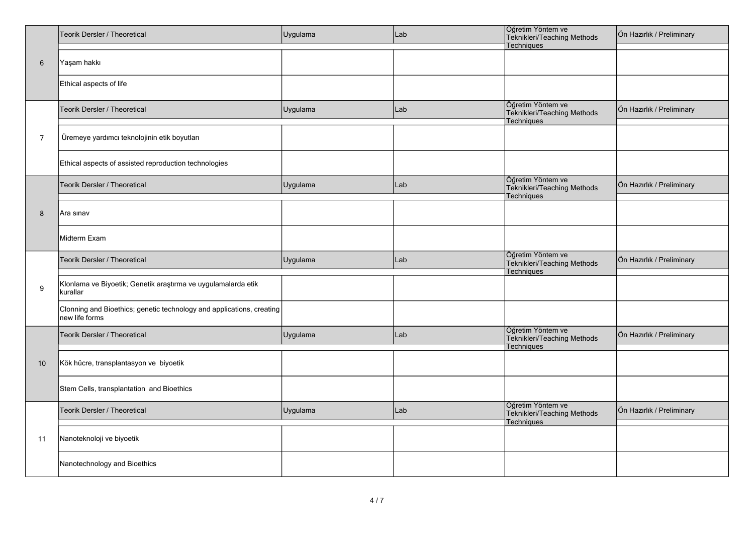|                  | Teorik Dersler / Theoretical                                                            | Uygulama | Lab | Öğretim Yöntem ve<br>Teknikleri/Teaching Methods<br>Techniques | Ön Hazırlık / Preliminary |
|------------------|-----------------------------------------------------------------------------------------|----------|-----|----------------------------------------------------------------|---------------------------|
| $6\phantom{1}$   | Yaşam hakkı                                                                             |          |     |                                                                |                           |
|                  | Ethical aspects of life                                                                 |          |     |                                                                |                           |
|                  | Teorik Dersler / Theoretical                                                            | Uygulama | Lab | Öğretim Yöntem ve<br>Teknikleri/Teaching Methods<br>Techniques | Ön Hazırlık / Preliminary |
| $\overline{7}$   | Üremeye yardımcı teknolojinin etik boyutları                                            |          |     |                                                                |                           |
|                  | Ethical aspects of assisted reproduction technologies                                   |          |     |                                                                |                           |
|                  | Teorik Dersler / Theoretical                                                            | Uygulama | Lab | Öğretim Yöntem ve<br>Teknikleri/Teaching Methods<br>Techniques | Ön Hazırlık / Preliminary |
| 8                | Ara sınav                                                                               |          |     |                                                                |                           |
|                  | Midterm Exam                                                                            |          |     |                                                                |                           |
|                  | Teorik Dersler / Theoretical                                                            | Uygulama | Lab | Öğretim Yöntem ve<br>Teknikleri/Teaching Methods<br>Techniques | Ön Hazırlık / Preliminary |
| $\boldsymbol{9}$ | Klonlama ve Biyoetik; Genetik araştırma ve uygulamalarda etik<br>kurallar               |          |     |                                                                |                           |
|                  | Clonning and Bioethics; genetic technology and applications, creating<br>new life forms |          |     |                                                                |                           |
|                  | Teorik Dersler / Theoretical                                                            | Uygulama | Lab | Öğretim Yöntem ve<br>Teknikleri/Teaching Methods<br>Techniques | Ön Hazırlık / Preliminary |
| 10               | Kök hücre, transplantasyon ve biyoetik                                                  |          |     |                                                                |                           |
|                  | Stem Cells, transplantation and Bioethics                                               |          |     |                                                                |                           |
|                  | Teorik Dersler / Theoretical                                                            | Uygulama | Lab | Öğretim Yöntem ve<br>Teknikleri/Teaching Methods<br>Techniques | Ön Hazırlık / Preliminary |
| 11               | Nanoteknoloji ve biyoetik                                                               |          |     |                                                                |                           |
|                  | Nanotechnology and Bioethics                                                            |          |     |                                                                |                           |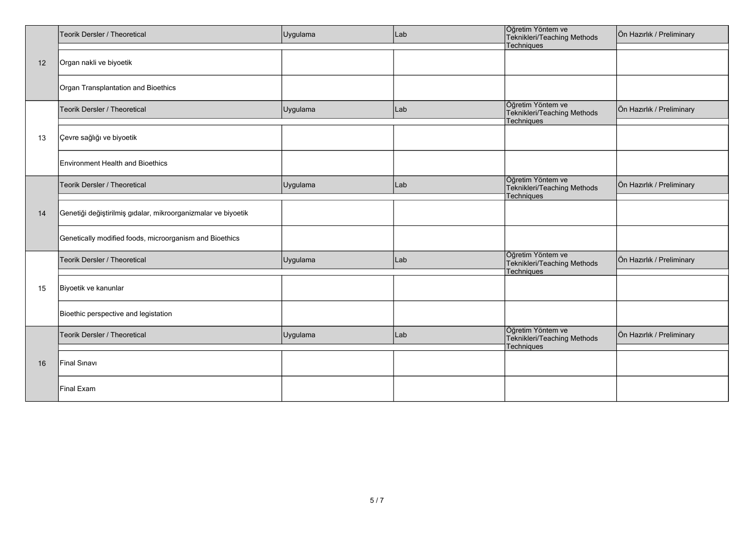|    | Teorik Dersler / Theoretical                                  | Uygulama | Lab | Öğretim Yöntem ve<br>Teknikleri/Teaching Methods               | Ön Hazırlık / Preliminary |
|----|---------------------------------------------------------------|----------|-----|----------------------------------------------------------------|---------------------------|
|    |                                                               |          |     | Techniques                                                     |                           |
| 12 | Organ nakli ve biyoetik                                       |          |     |                                                                |                           |
|    | Organ Transplantation and Bioethics                           |          |     |                                                                |                           |
|    | Teorik Dersler / Theoretical                                  | Uygulama | Lab | Öğretim Yöntem ve<br>Teknikleri/Teaching Methods<br>Techniques | Ön Hazırlık / Preliminary |
| 13 | Çevre sağlığı ve biyoetik                                     |          |     |                                                                |                           |
|    | <b>Environment Health and Bioethics</b>                       |          |     |                                                                |                           |
|    | Teorik Dersler / Theoretical                                  | Uygulama | Lab | Öğretim Yöntem ve<br>Teknikleri/Teaching Methods<br>Techniques | Ön Hazırlık / Preliminary |
| 14 | Genetiği değiştirilmiş gıdalar, mikroorganizmalar ve biyoetik |          |     |                                                                |                           |
|    | Genetically modified foods, microorganism and Bioethics       |          |     |                                                                |                           |
|    | Teorik Dersler / Theoretical                                  | Uygulama | Lab | Öğretim Yöntem ve<br>Teknikleri/Teaching Methods<br>Techniques | Ön Hazırlık / Preliminary |
| 15 | Biyoetik ve kanunlar                                          |          |     |                                                                |                           |
|    | Bioethic perspective and legistation                          |          |     |                                                                |                           |
|    | Teorik Dersler / Theoretical                                  | Uygulama | Lab | Öğretim Yöntem ve<br>Teknikleri/Teaching Methods<br>Techniques | Ön Hazırlık / Preliminary |
| 16 | Final Sinavi                                                  |          |     |                                                                |                           |
|    | Final Exam                                                    |          |     |                                                                |                           |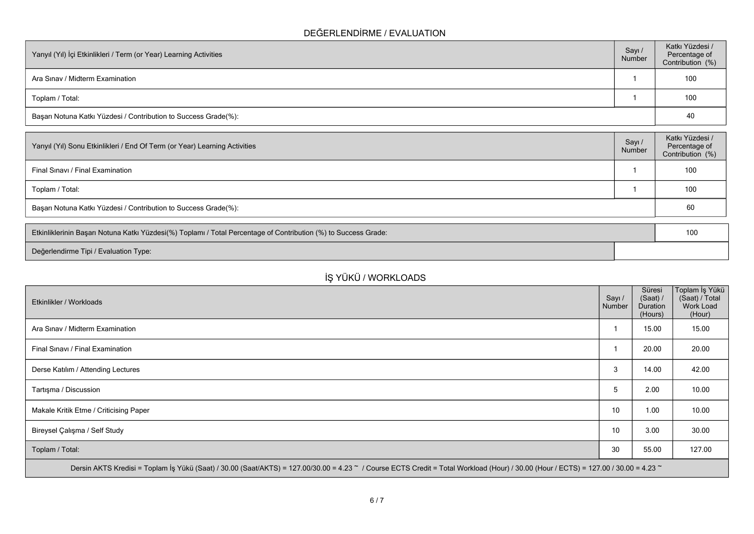### **DEĞERLENDİRME / EVALUATION**

| Yarıyıl (Yıl) İçi Etkinlikleri / Term (or Year) Learning Activities | Sayı<br>Number | Katkı Yüzdesi /<br>Percentage of<br>Contribution (%) |
|---------------------------------------------------------------------|----------------|------------------------------------------------------|
| Ara Sinav / Midterm Examination                                     |                | 100                                                  |
| Toplam / Total:                                                     |                | 100                                                  |
| Başarı Notuna Katkı Yüzdesi / Contribution to Success Grade(%):     |                | 40                                                   |

| Yarıyıl (Yıl) Sonu Etkinlikleri / End Of Term (or Year) Learning Activities | Sayı/<br>Number | Katkı Yüzdesi /<br>Percentage of<br>Contribution (%) |
|-----------------------------------------------------------------------------|-----------------|------------------------------------------------------|
| Final Sinavi / Final Examination                                            |                 | 100                                                  |
| Toplam / Total:                                                             |                 | 100                                                  |
| Başarı Notuna Katkı Yüzdesi / Contribution to Success Grade(%):             |                 | 60                                                   |

| Etkinliklerinin Başarı Notuna Katkı Yüzdesi(%) Toplamı / Total Percentage of Contribution (%) to Success Grade: | 100 |
|-----------------------------------------------------------------------------------------------------------------|-----|
| Değerlendirme Tipi / Evaluation Type:                                                                           |     |

# **İŞ YÜKÜ / WORKLOADS**

| Etkinlikler / Workloads                                                                                                                                                              | Sayı /<br>Number | Süresi<br>(Saat) /<br>Duration<br>(Hours) | ∣Toplam İş Yükü<br>(Saat) / Total<br>Work Load<br>(Hour) |
|--------------------------------------------------------------------------------------------------------------------------------------------------------------------------------------|------------------|-------------------------------------------|----------------------------------------------------------|
| Ara Sinav / Midterm Examination                                                                                                                                                      |                  | 15.00                                     | 15.00                                                    |
| Final Sinavi / Final Examination                                                                                                                                                     |                  | 20.00                                     | 20.00                                                    |
| Derse Katılım / Attending Lectures                                                                                                                                                   | 3                | 14.00                                     | 42.00                                                    |
| Tartışma / Discussion                                                                                                                                                                | 5                | 2.00                                      | 10.00                                                    |
| Makale Kritik Etme / Criticising Paper                                                                                                                                               | 10               | 1.00                                      | 10.00                                                    |
| Bireysel Çalışma / Self Study                                                                                                                                                        | 10               | 3.00                                      | 30.00                                                    |
| Toplam / Total:                                                                                                                                                                      | 30               | 55.00                                     | 127.00                                                   |
| Dersin AKTS Kredisi = Toplam İş Yükü (Saat) / 30.00 (Saat/AKTS) = 127.00/30.00 = 4.23 ~ / Course ECTS Credit = Total Workload (Hour) / 30.00 (Hour / ECTS) = 127.00 / 30.00 = 4.23 ~ |                  |                                           |                                                          |